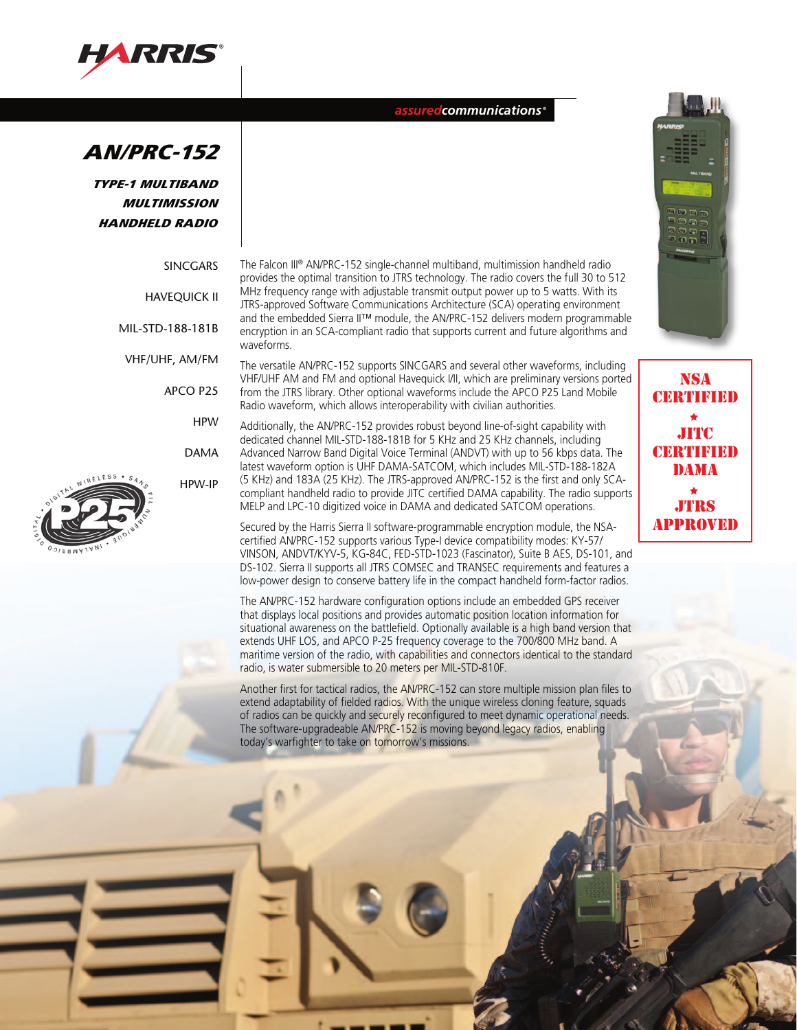

*assuredcommunications ®*



TYPE-1 MULTIBAND MULTIMISSION HANDHELD RADIO

MIL-

| <b>SINCGARS</b> |  |
|-----------------|--|
| HAVEOUICK II    |  |
| STD-188-181B    |  |

VHF/UHF, AM/FM

APCO P25

HPW

DAMA

HPW-IP

The Falcon III® AN/PRC-152 single-channel multiband, multimission handheld radio provides the optimal transition to JTRS technology. The radio covers the full 30 to 512 MHz frequency range with adjustable transmit output power up to 5 watts. With its JTRS-approved Software Communications Architecture (SCA) operating environment and the embedded Sierra II™ module, the AN/PRC-152 delivers modern programmable encryption in an SCA-compliant radio that supports current and future algorithms and waveforms.

The versatile AN/PRC-152 supports SINCGARS and several other waveforms, including VHF/UHF AM and FM and optional Havequick I/II, which are preliminary versions ported from the JTRS library. Other optional waveforms include the APCO P25 Land Mobile Radio waveform, which allows interoperability with civilian authorities.

Additionally, the AN/PRC-152 provides robust beyond line-of-sight capability with dedicated channel MIL-STD-188-181B for 5 KHz and 25 KHz channels, including Advanced Narrow Band Digital Voice Terminal (ANDVT) with up to 56 kbps data. The latest waveform option is UHF DAMA-SATCOM, which includes MIL-STD-188-182A (5 KHz) and 183A (25 KHz). The JTRS-approved AN/PRC-152 is the first and only SCAcompliant handheld radio to provide JITC certified DAMA capability. The radio supports MELP and LPC-10 digitized voice in DAMA and dedicated SATCOM operations.

Secured by the Harris Sierra II software-programmable encryption module, the NSAcertified AN/PRC-152 supports various Type-I device compatibility modes: KY-57/ VINSON, ANDVT/KYV-5, KG-84C, FED-STD-1023 (Fascinator), Suite B AES, DS-101, and DS-102. Sierra II supports all JTRS COMSEC and TRANSEC requirements and features a low-power design to conserve battery life in the compact handheld form-factor radios.

The AN/PRC-152 hardware configuration options include an embedded GPS receiver that displays local positions and provides automatic position location information for situational awareness on the battlefield. Optionally available is a high band version that extends UHF LOS, and APCO P-25 frequency coverage to the 700/800 MHz band. A maritime version of the radio, with capabilities and connectors identical to the standard radio, is water submersible to 20 meters per MIL-STD-810F.

Another first for tactical radios, the AN/PRC-152 can store multiple mission plan files to extend adaptability of fielded radios. With the unique wireless cloning feature, squads of radios can be quickly and securely reconfigured to meet dynamic operational needs. The software-upgradeable AN/PRC-152 is moving beyond legacy radios, enabling today's warfighter to take on tomorrow's missions.



nsa certified jitc **CERTIFIED** dama jtrs approved